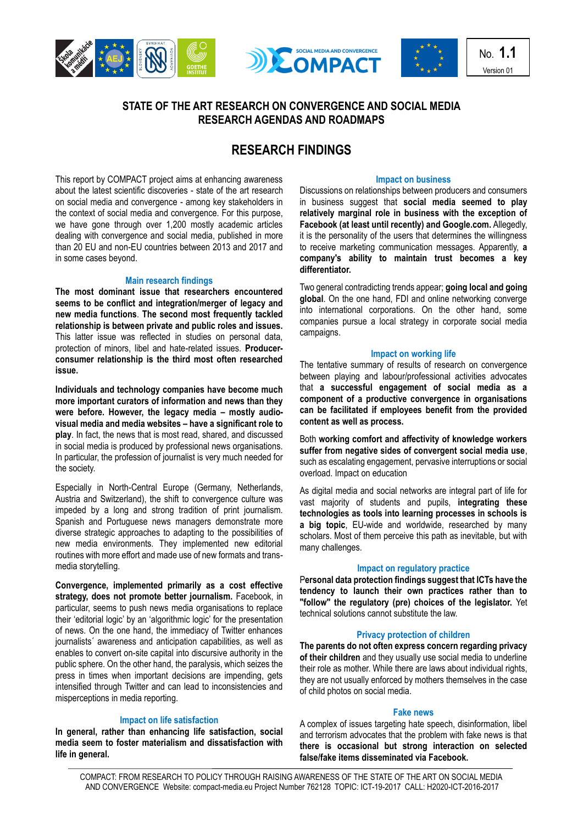





No. **1.1** Version 01

## **STATE OF THE ART RESEARCH ON CONVERGENCE AND SOCIAL MEDIA RESEARCH AGENDAS AND ROADMAPS**

# **RESEARCH FINDINGS**

**Impact on business**

This report by COMPACT project aims at enhancing awareness about the latest scientific discoveries - state of the art research on social media and convergence - among key stakeholders in the context of social media and convergence. For this purpose, we have gone through over 1,200 mostly academic articles dealing with convergence and social media, published in more than 20 EU and non-EU countries between 2013 and 2017 and in some cases beyond.

## **Main research findings**

**The most dominant issue that researchers encountered seems to be conflict and integration/merger of legacy and new media functions**. **The second most frequently tackled relationship is between private and public roles and issues.**  This latter issue was reflected in studies on personal data, protection of minors, libel and hate-related issues. **Producerconsumer relationship is the third most often researched issue.**

**Individuals and technology companies have become much more important curators of information and news than they were before. However, the legacy media – mostly audiovisual media and media websites – have a significant role to play**. In fact, the news that is most read, shared, and discussed in social media is produced by professional news organisations. In particular, the profession of journalist is very much needed for the society.

Especially in North-Central Europe (Germany, Netherlands, Austria and Switzerland), the shift to convergence culture was impeded by a long and strong tradition of print journalism. Spanish and Portuguese news managers demonstrate more diverse strategic approaches to adapting to the possibilities of new media environments. They implemented new editorial routines with more effort and made use of new formats and transmedia storytelling.

**Convergence, implemented primarily as a cost effective strategy, does not promote better journalism.** Facebook, in particular, seems to push news media organisations to replace their 'editorial logic' by an 'algorithmic logic' for the presentation of news. On the one hand, the immediacy of Twitter enhances journalists' awareness and anticipation capabilities, as well as enables to convert on-site capital into discursive authority in the public sphere. On the other hand, the paralysis, which seizes the press in times when important decisions are impending, gets intensified through Twitter and can lead to inconsistencies and misperceptions in media reporting.

## **Impact on life satisfaction**

**In general, rather than enhancing life satisfaction, social media seem to foster materialism and dissatisfaction with life in general.**

Discussions on relationships between producers and consumers in business suggest that **social media seemed to play relatively marginal role in business with the exception of Facebook (at least until recently) and Google.com.** Allegedly, it is the personality of the users that determines the willingness to receive marketing communication messages. Apparently, **a company's ability to maintain trust becomes a key differentiator.**

Two general contradicting trends appear; **going local and going global**. On the one hand, FDI and online networking converge into international corporations. On the other hand, some companies pursue a local strategy in corporate social media campaigns.

## **Impact on working life**

The tentative summary of results of research on convergence between playing and labour/professional activities advocates that **a successful engagement of social media as a component of a productive convergence in organisations can be facilitated if employees benefit from the provided content as well as process.**

Both **working comfort and affectivity of knowledge workers suffer from negative sides of convergent social media use**, such as escalating engagement, pervasive interruptions or social overload. Impact on education

As digital media and social networks are integral part of life for vast majority of students and pupils, **integrating these technologies as tools into learning processes in schools is a big topic**, EU-wide and worldwide, researched by many scholars. Most of them perceive this path as inevitable, but with many challenges.

## **Impact on regulatory practice**

P**ersonal data protection findings suggest that ICTs have the tendency to launch their own practices rather than to "follow" the regulatory (pre) choices of the legislator.** Yet technical solutions cannot substitute the law.

## **Privacy protection of children**

**The parents do not often express concern regarding privacy of their children** and they usually use social media to underline their role as mother. While there are laws about individual rights, they are not usually enforced by mothers themselves in the case of child photos on social media.

## **Fake news**

A complex of issues targeting hate speech, disinformation, libel and terrorism advocates that the problem with fake news is that **there is occasional but strong interaction on selected false/fake items disseminated via Facebook.**